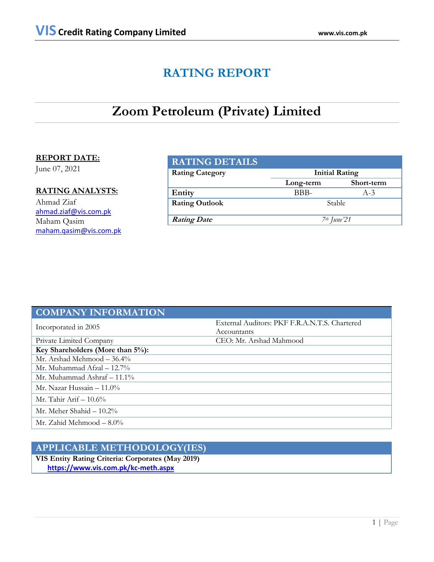# **RATING REPORT**

# **Zoom Petroleum (Private) Limited**

# **REPORT DATE:**

June 07, 2021

# **RATING ANALYSTS:**

Ahmad Ziaf ahmad.ziaf@vis.com.pk Maham Qasim [maham.qasim@vis.com.pk](mailto:maham.qasim@vis.com.pk)

| <b>RATING DETAILS</b>  |                       |                         |  |  |
|------------------------|-----------------------|-------------------------|--|--|
| <b>Rating Category</b> | <b>Initial Rating</b> |                         |  |  |
|                        | Long-term             | Short-term              |  |  |
| Entity                 | BBB-                  | $A-3$                   |  |  |
| <b>Rating Outlook</b>  | <b>Stable</b>         |                         |  |  |
| <b>Rating Date</b>     |                       | 7 <sup>th</sup> June'21 |  |  |

| <b>COMPANY INFORMATION</b>       |                                               |  |  |
|----------------------------------|-----------------------------------------------|--|--|
| Incorporated in 2005             | External Auditors: PKF F.R.A.N.T.S. Chartered |  |  |
|                                  | Accountants                                   |  |  |
| Private Limited Company          | CEO: Mr. Arshad Mahmood                       |  |  |
| Key Shareholders (More than 5%): |                                               |  |  |
| Mr. Arshad Mehmood $-36.4\%$     |                                               |  |  |
| Mr. Muhammad Afzal $- 12.7\%$    |                                               |  |  |
| Mr. Muhammad Ashraf $-11.1\%$    |                                               |  |  |
| Mr. Nazar Hussain $-11.0\%$      |                                               |  |  |
| Mr. Tahir Arif $-10.6\%$         |                                               |  |  |
| Mr. Meher Shahid $-10.2\%$       |                                               |  |  |
| Mr. Zahid Mehmood $-8.0\%$       |                                               |  |  |

# **APPLICABLE METHODOLOGY(IES)**

**VIS Entity Rating Criteria: Corporates (May 2019)** **<https://www.vis.com.pk/kc-meth.aspx>**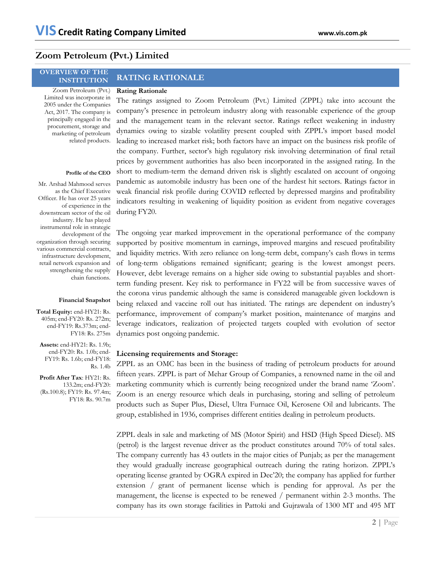# **Zoom Petroleum (Pvt.) Limited**

# **OVERVIEW OF THE INSTITUTION RATING RATIONALE**

## **Rating Rationale**

Zoom Petroleum (Pvt.) Limited was incorporate in 2005 under the Companies Act, 2017. The company is principally engaged in the procurement, storage and marketing of petroleum related products.

## **Profile of the CEO**

Mr. Arshad Mahmood serves as the Chief Executive Officer. He has over 25 years of experience in the downstream sector of the oil industry. He has played instrumental role in strategic development of the organization through securing various commercial contracts, infrastructure development, retail network expansion and strengthening the supply chain functions.

### **Financial Snapshot**

**Total Equity:** end-HY21: Rs. 405m; end-FY20: Rs. 272m; end-FY19: Rs.373m; end-FY18: Rs. 275m

**Assets:** end-HY21: Rs. 1.9b; end-FY20: Rs. 1.0b; end-FY19: Rs. 1.6b; end-FY18: Rs. 1.4b

**Profit After Tax**: HY21: Rs. 133.2m; end-FY20: (Rs.100.8); FY19: Rs. 97.4m; FY18: Rs. 90.7m

The ratings assigned to Zoom Petroleum (Pvt.) Limited (ZPPL) take into account the company's presence in petroleum industry along with reasonable experience of the group and the management team in the relevant sector. Ratings reflect weakening in industry dynamics owing to sizable volatility present coupled with ZPPL's import based model leading to increased market risk; both factors have an impact on the business risk profile of the company. Further, sector's high regulatory risk involving determination of final retail prices by government authorities has also been incorporated in the assigned rating. In the short to medium-term the demand driven risk is slightly escalated on account of ongoing pandemic as automobile industry has been one of the hardest hit sectors. Ratings factor in weak financial risk profile during COVID reflected by depressed margins and profitability indicators resulting in weakening of liquidity position as evident from negative coverages during FY20.

The ongoing year marked improvement in the operational performance of the company supported by positive momentum in earnings, improved margins and rescued profitability and liquidity metrics. With zero reliance on long-term debt, company's cash flows in terms of long-term obligations remained significant; gearing is the lowest amongst peers. However, debt leverage remains on a higher side owing to substantial payables and shortterm funding present. Key risk to performance in FY22 will be from successive waves of the corona virus pandemic although the same is considered manageable given lockdown is being relaxed and vaccine roll out has initiated. The ratings are dependent on industry's performance, improvement of company's market position, maintenance of margins and leverage indicators, realization of projected targets coupled with evolution of sector dynamics post ongoing pandemic.

## **Licensing requirements and Storage:**

ZPPL as an OMC has been in the business of trading of petroleum products for around fifteen years. ZPPL is part of Mehar Group of Companies, a renowned name in the oil and marketing community which is currently being recognized under the brand name 'Zoom'. Zoom is an energy resource which deals in purchasing, storing and selling of petroleum products such as Super Plus, Diesel, Ultra Furnace Oil, Kerosene Oil and lubricants. The group, established in 1936, comprises different entities dealing in petroleum products.

ZPPL deals in sale and marketing of MS (Motor Spirit) and HSD (High Speed Diesel). MS (petrol) is the largest revenue driver as the product constitutes around 70% of total sales. The company currently has 43 outlets in the major cities of Punjab; as per the management they would gradually increase geographical outreach during the rating horizon. ZPPL's operating license granted by OGRA expired in Dec'20; the company has applied for further extension / grant of permanent license which is pending for approval. As per the management, the license is expected to be renewed / permanent within 2-3 months. The company has its own storage facilities in Pattoki and Gujrawala of 1300 MT and 495 MT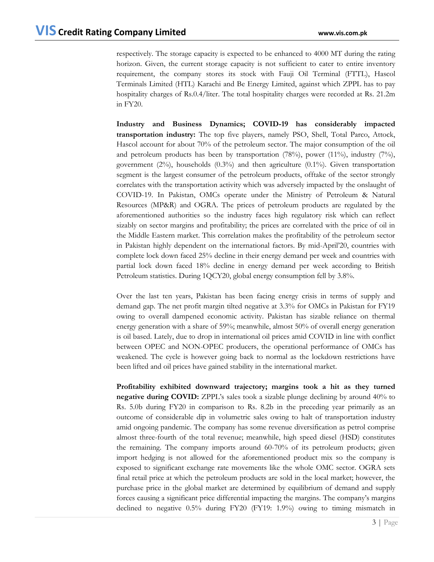respectively. The storage capacity is expected to be enhanced to 4000 MT during the rating horizon. Given, the current storage capacity is not sufficient to cater to entire inventory requirement, the company stores its stock with Fauji Oil Terminal (FTTL), Hascol Terminals Limited (HTL) Karachi and Be Energy Limited, against which ZPPL has to pay hospitality charges of Rs.0.4/liter. The total hospitality charges were recorded at Rs. 21.2m in FY20.

**Industry and Business Dynamics; COVID-19 has considerably impacted transportation industry:** The top five players, namely PSO, Shell, Total Parco, Attock, Hascol account for about 70% of the petroleum sector. The major consumption of the oil and petroleum products has been by transportation  $(78%)$ , power  $(11%)$ , industry  $(7%)$ , government  $(2\%)$ , households  $(0.3\%)$  and then agriculture  $(0.1\%)$ . Given transportation segment is the largest consumer of the petroleum products, offtake of the sector strongly correlates with the transportation activity which was adversely impacted by the onslaught of COVID-19. In Pakistan, OMCs operate under the Ministry of Petroleum & Natural Resources (MP&R) and OGRA. The prices of petroleum products are regulated by the aforementioned authorities so the industry faces high regulatory risk which can reflect sizably on sector margins and profitability; the prices are correlated with the price of oil in the Middle Eastern market. This correlation makes the profitability of the petroleum sector in Pakistan highly dependent on the international factors. By mid-April'20, countries with complete lock down faced 25% decline in their energy demand per week and countries with partial lock down faced 18% decline in energy demand per week according to British Petroleum statistics. During 1QCY20, global energy consumption fell by 3.8%.

Over the last ten years, Pakistan has been facing energy crisis in terms of supply and demand gap. The net profit margin tilted negative at 3.3% for OMCs in Pakistan for FY19 owing to overall dampened economic activity. Pakistan has sizable reliance on thermal energy generation with a share of 59%; meanwhile, almost 50% of overall energy generation is oil based. Lately, due to drop in international oil prices amid COVID in line with conflict between OPEC and NON-OPEC producers, the operational performance of OMCs has weakened. The cycle is however going back to normal as the lockdown restrictions have been lifted and oil prices have gained stability in the international market.

**Profitability exhibited downward trajectory; margins took a hit as they turned negative during COVID:** ZPPL's sales took a sizable plunge declining by around 40% to Rs. 5.0b during FY20 in comparison to Rs. 8.2b in the preceding year primarily as an outcome of considerable dip in volumetric sales owing to halt of transportation industry amid ongoing pandemic. The company has some revenue diversification as petrol comprise almost three-fourth of the total revenue; meanwhile, high speed diesel (HSD) constitutes the remaining. The company imports around 60-70% of its petroleum products; given import hedging is not allowed for the aforementioned product mix so the company is exposed to significant exchange rate movements like the whole OMC sector. OGRA sets final retail price at which the petroleum products are sold in the local market; however, the purchase price in the global market are determined by equilibrium of demand and supply forces causing a significant price differential impacting the margins. The company's margins declined to negative 0.5% during FY20 (FY19: 1.9%) owing to timing mismatch in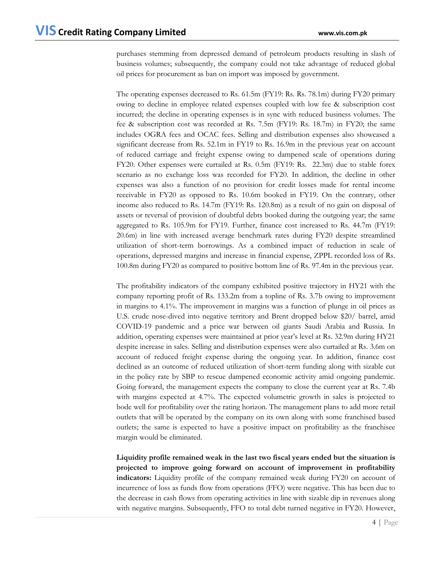purchases stemming from depressed demand of petroleum products resulting in slash of business volumes; subsequently, the company could not take advantage of reduced global oil prices for procurement as ban on import was imposed by government.

The operating expenses decreased to Rs. 61.5m (FY19: Rs. Rs. 78.1m) during FY20 primary owing to decline in employee related expenses coupled with low fee & subscription cost incurred; the decline in operating expenses is in sync with reduced business volumes. The fee & subscription cost was recorded at Rs. 7.5m (FY19: Rs. 18.7m) in FY20; the same includes OGRA fees and OCAC fees. Selling and distribution expenses also showcased a significant decrease from Rs. 52.1m in FY19 to Rs. 16.9m in the previous year on account of reduced carriage and freight expense owing to dampened scale of operations during FY20. Other expenses were curtailed at Rs. 0.5m (FY19: Rs. 22.3m) due to stable forex scenario as no exchange loss was recorded for FY20. In addition, the decline in other expenses was also a function of no provision for credit losses made for rental income receivable in FY20 as opposed to Rs. 10.6m booked in FY19. On the contrary, other income also reduced to Rs. 14.7m (FY19: Rs. 120.8m) as a result of no gain on disposal of assets or reversal of provision of doubtful debts booked during the outgoing year; the same aggregated to Rs. 105.9m for FY19. Further, finance cost increased to Rs. 44.7m (FY19: 20.6m) in line with increased average benchmark rates during FY20 despite streamlined utilization of short-term borrowings. As a combined impact of reduction in scale of operations, depressed margins and increase in financial expense, ZPPL recorded loss of Rs. 100.8m during FY20 as compared to positive bottom line of Rs. 97.4m in the previous year.

The profitability indicators of the company exhibited positive trajectory in HY21 with the company reporting profit of Rs. 133.2m from a topline of Rs. 3.7b owing to improvement in margins to 4.1%. The improvement in margins was a function of plunge in oil prices as U.S. crude nose-dived into negative territory and Brent dropped below \$20/ barrel, amid COVID-19 pandemic and a price war between oil giants Saudi Arabia and Russia. In addition, operating expenses were maintained at prior year's level at Rs. 32.9m during HY21 despite increase in sales. Selling and distribution expenses were also curtailed at Rs. 3.6m on account of reduced freight expense during the ongoing year. In addition, finance cost declined as an outcome of reduced utilization of short-term funding along with sizable cut in the policy rate by SBP to rescue dampened economic activity amid ongoing pandemic. Going forward, the management expects the company to close the current year at Rs. 7.4b with margins expected at 4.7%. The expected volumetric growth in sales is projected to bode well for profitability over the rating horizon. The management plans to add more retail outlets that will be operated by the company on its own along with some franchised based outlets; the same is expected to have a positive impact on profitability as the franchisee margin would be eliminated.

**Liquidity profile remained weak in the last two fiscal years ended but the situation is projected to improve going forward on account of improvement in profitability indicators:** Liquidity profile of the company remained weak during FY20 on account of incurrence of loss as funds flow from operations (FFO) were negative. This has been due to the decrease in cash flows from operating activities in line with sizable dip in revenues along with negative margins. Subsequently, FFO to total debt turned negative in FY20. However,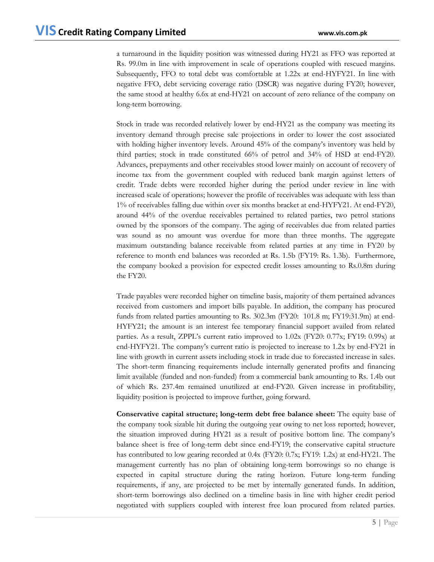a turnaround in the liquidity position was witnessed during HY21 as FFO was reported at Rs. 99.0m in line with improvement in scale of operations coupled with rescued margins. Subsequently, FFO to total debt was comfortable at 1.22x at end-HYFY21. In line with negative FFO, debt servicing coverage ratio (DSCR) was negative during FY20; however, the same stood at healthy 6.6x at end-HY21 on account of zero reliance of the company on long-term borrowing.

Stock in trade was recorded relatively lower by end-HY21 as the company was meeting its inventory demand through precise sale projections in order to lower the cost associated with holding higher inventory levels. Around 45% of the company's inventory was held by third parties; stock in trade constituted 66% of petrol and 34% of HSD at end-FY20. Advances, prepayments and other receivables stood lower mainly on account of recovery of income tax from the government coupled with reduced bank margin against letters of credit. Trade debts were recorded higher during the period under review in line with increased scale of operations; however the profile of receivables was adequate with less than 1% of receivables falling due within over six months bracket at end-HYFY21. At end-FY20, around 44% of the overdue receivables pertained to related parties, two petrol stations owned by the sponsors of the company. The aging of receivables due from related parties was sound as no amount was overdue for more than three months. The aggregate maximum outstanding balance receivable from related parties at any time in FY20 by reference to month end balances was recorded at Rs. 1.5b (FY19: Rs. 1.3b). Furthermore, the company booked a provision for expected credit losses amounting to Rs.0.8m during the FY20.

Trade payables were recorded higher on timeline basis, majority of them pertained advances received from customers and import bills payable. In addition, the company has procured funds from related parties amounting to Rs. 302.3m (FY20: 101.8 m; FY19:31.9m) at end-HYFY21; the amount is an interest fee temporary financial support availed from related parties. As a result, ZPPL's current ratio improved to 1.02x (FY20: 0.77x; FY19: 0.99x) at end-HYFY21. The company's current ratio is projected to increase to 1.2x by end-FY21 in line with growth in current assets including stock in trade due to forecasted increase in sales. The short-term financing requirements include internally generated profits and financing limit available (funded and non-funded) from a commercial bank amounting to Rs. 1.4b out of which Rs. 237.4m remained unutilized at end-FY20. Given increase in profitability, liquidity position is projected to improve further, going forward.

**Conservative capital structure; long-term debt free balance sheet:** The equity base of the company took sizable hit during the outgoing year owing to net loss reported; however, the situation improved during HY21 as a result of positive bottom line. The company's balance sheet is free of long-term debt since end-FY19; the conservative capital structure has contributed to low gearing recorded at 0.4x (FY20: 0.7x; FY19: 1.2x) at end-HY21. The management currently has no plan of obtaining long-term borrowings so no change is expected in capital structure during the rating horizon. Future long-term funding requirements, if any, are projected to be met by internally generated funds. In addition, short-term borrowings also declined on a timeline basis in line with higher credit period negotiated with suppliers coupled with interest free loan procured from related parties.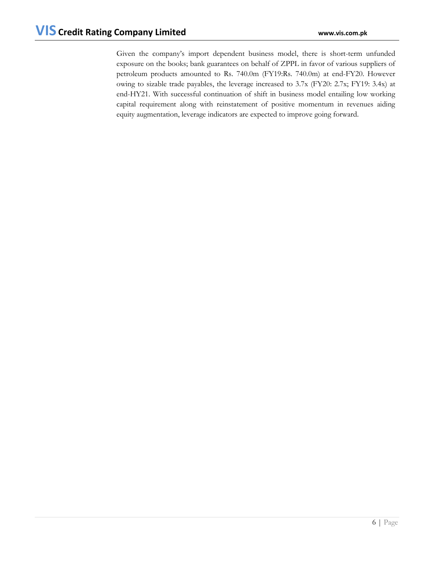Given the company's import dependent business model, there is short-term unfunded exposure on the books; bank guarantees on behalf of ZPPL in favor of various suppliers of petroleum products amounted to Rs. 740.0m (FY19:Rs. 740.0m) at end-FY20. However owing to sizable trade payables, the leverage increased to 3.7x (FY20: 2.7x; FY19: 3.4x) at end-HY21. With successful continuation of shift in business model entailing low working capital requirement along with reinstatement of positive momentum in revenues aiding equity augmentation, leverage indicators are expected to improve going forward.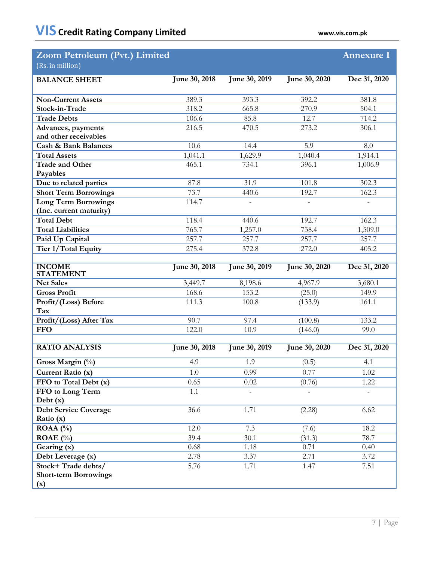| Zoom Petroleum (Pvt.) Limited                          |                      |               |                | <b>Annexure I</b>        |
|--------------------------------------------------------|----------------------|---------------|----------------|--------------------------|
| (Rs. in million)                                       |                      |               |                |                          |
| <b>BALANCE SHEET</b>                                   | June 30, 2018        | June 30, 2019 | June 30, 2020  | Dec 31, 2020             |
|                                                        |                      |               |                |                          |
| <b>Non-Current Assets</b>                              | 389.3                | 393.3         | 392.2          | 381.8                    |
| Stock-in-Trade                                         | 318.2                | 665.8         | 270.9          | 504.1                    |
| <b>Trade Debts</b>                                     | 106.6                | 85.8          | 12.7           | 714.2                    |
| Advances, payments                                     | 216.5                | 470.5         | 273.2          | 306.1                    |
| and other receivables                                  |                      |               |                |                          |
| <b>Cash &amp; Bank Balances</b>                        | 10.6                 | 14.4          | 5.9            | 8.0                      |
| <b>Total Assets</b>                                    | 1,041.1              | 1,629.9       | 1,040.4        | 1,914.1                  |
| <b>Trade and Other</b>                                 | 465.1                | 734.1         | 396.1          | 1,006.9                  |
| Payables                                               | 87.8                 | 31.9          | 101.8          | 302.3                    |
| Due to related parties                                 | 73.7                 |               |                |                          |
| <b>Short Term Borrowings</b>                           | 114.7                | 440.6         | 192.7          | 162.3                    |
| <b>Long Term Borrowings</b><br>(Inc. current maturity) |                      |               | $\overline{a}$ | $\overline{a}$           |
| <b>Total Debt</b>                                      | 118.4                | 440.6         | 192.7          | 162.3                    |
| <b>Total Liabilities</b>                               | 765.7                | 1,257.0       | 738.4          | 1,509.0                  |
| Paid Up Capital                                        | 257.7                | 257.7         | 257.7          | 257.7                    |
| <b>Tier 1/Total Equity</b>                             | 275.4                | 372.8         | 272.0          | 405.2                    |
|                                                        |                      |               |                |                          |
| <b>INCOME</b><br><b>STATEMENT</b>                      | June 30, 2018        | June 30, 2019 | June 30, 2020  | Dec 31, 2020             |
| <b>Net Sales</b>                                       | 3,449.7              | 8,198.6       | 4,967.9        | 3,680.1                  |
| <b>Gross Profit</b>                                    | 168.6                | 153.2         | (25.0)         | 149.9                    |
| Profit/(Loss) Before<br>Tax                            | 111.3                | 100.8         | (133.9)        | 161.1                    |
| Profit/(Loss) After Tax                                | 90.7                 | 97.4          | (100.8)        | 133.2                    |
| <b>FFO</b>                                             | 122.0                | 10.9          | (146.0)        | 99.0                     |
|                                                        |                      |               |                |                          |
| <b>RATIO ANALYSIS</b>                                  | <b>June 30, 2018</b> | June 30, 2019 | June 30, 2020  | Dec 31, 2020             |
| Gross Margin $(\%)$                                    | 4.9                  | 1.9           | (0.5)          | 4.1                      |
| Current Ratio (x)                                      | 1.0                  | 0.99          | 0.77           | 1.02                     |
| FFO to Total Debt (x)                                  | 0.65                 | 0.02          | (0.76)         | 1.22                     |
| FFO to Long Term                                       | 1.1                  |               |                | $\overline{\phantom{0}}$ |
| Debt(x)                                                |                      |               |                |                          |
| <b>Debt Service Coverage</b>                           | 36.6                 | 1.71          | (2.28)         | 6.62                     |
| Ratio (x)                                              |                      |               |                |                          |
| ROAA $(%)$                                             | 12.0                 | 7.3           | (7.6)          | 18.2                     |
| ROAE $(\% )$                                           | 39.4<br>0.68         | 30.1          | (31.3)<br>0.71 | 78.7<br>0.40             |
| Gearing (x)                                            | 2.78                 | 1.18<br>3.37  | 2.71           | 3.72                     |
| Debt Leverage (x)<br>Stock+Trade debts/                | 5.76                 | 1.71          | 1.47           | 7.51                     |
| <b>Short-term Borrowings</b>                           |                      |               |                |                          |
| (x)                                                    |                      |               |                |                          |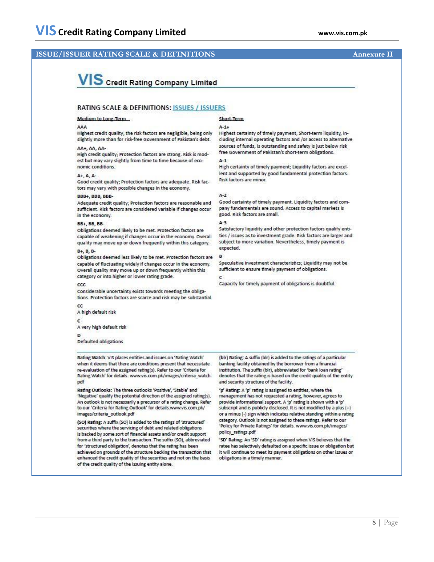## **ISSUE/ISSUER RATING SCALE & DEFINITIONS Annexure II**

# VIS Credit Rating Company Limited

## **RATING SCALE & DEFINITIONS: ISSUES / ISSUERS**

Medium to Long-Term

#### AAA

Highest credit quality; the risk factors are negligible, being only slightly more than for risk-free Government of Pakistan's debt. AA+, AA, AA-

High credit quality; Protection factors are strong. Risk is modest but may vary slightly from time to time because of economic conditions.

#### A+, A, A-

Good credit quality; Protection factors are adequate. Risk factors may vary with possible changes in the economy.

#### BBB+, BBB, BBB-

Adequate credit quality; Protection factors are reasonable and sufficient. Risk factors are considered variable if changes occur in the economy.

#### BB+, BB, BB-

Obligations deemed likely to be met. Protection factors are capable of weakening if changes occur in the economy. Overall quality may move up or down frequently within this category.

### **B+, B, B-**

Obligations deemed less likely to be met. Protection factors are capable of fluctuating widely if changes occur in the economy. Overall quality may move up or down frequently within this category or into higher or lower rating grade.

 $_{\rm cc}$ 

Considerable uncertainty exists towards meeting the obligations. Protection factors are scarce and risk may be substantial.

#### A high default risk

 $\mathbf c$ 

## A very high default risk

D Defaulted obligations

Rating Watch: VIS places entities and issues on 'Rating Watch' when it deems that there are conditions present that necessitate re-evaluation of the assigned rating(s). Refer to our 'Criteria for Rating Watch' for details. www.vis.com.pk/images/criteria\_watch. pdf

Rating Outlooks: The three outlooks 'Positive', 'Stable' and 'Negative' qualify the potential direction of the assigned rating(s). An outlook is not necessarily a precursor of a rating change. Refer to our 'Criteria for Rating Outlook' for details.www.vis.com.pk/ images/criteria\_outlook.pdf

(SO) Rating: A suffix (SO) is added to the ratings of 'structured' securities where the servicing of debt and related obligations is backed by some sort of financial assets and/or credit support from a third party to the transaction. The suffix (SO), abbreviated for 'structured obligation', denotes that the rating has been achieved on grounds of the structure backing the transaction that enhanced the credit quality of the securities and not on the basis of the credit quality of the issuing entity alone.

#### Short-Term

#### $A-1+$

Highest certainty of timely payment; Short-term liquidity, including internal operating factors and /or access to alternative sources of funds, is outstanding and safety is just below risk free Government of Pakistan's short-term obligations.

#### $A-1$

High certainty of timely payment; Liquidity factors are excellent and supported by good fundamental protection factors. Risk factors are minor.

#### $A-2$

Good certainty of timely payment. Liquidity factors and company fundamentals are sound. Access to capital markets is good. Risk factors are small.

#### $A-3$

Satisfactory liquidity and other protection factors qualify entities / issues as to investment grade. Risk factors are larger and subject to more variation. Nevertheless, timely payment is expected.

#### B

Speculative investment characteristics; Liquidity may not be sufficient to ensure timely payment of obligations.

Capacity for timely payment of obligations is doubtful.

(bir) Rating: A suffix (bir) is added to the ratings of a particular banking facility obtained by the borrower from a financial institution. The suffix (bir), abbreviated for 'bank loan rating' denotes that the rating is based on the credit quality of the entity and security structure of the facility.

'p' Rating: A 'p' rating is assigned to entities, where the management has not requested a rating, however, agrees to provide informational support. A 'p' rating is shown with a 'p' subscript and is publicly disclosed. It is not modified by a plus (+) or a minus (-) sign which indicates relative standing within a rating category. Outlook is not assigned to these ratings. Refer to our 'Policy for Private Ratings' for details. www.vis.com.pk/images/ policy\_ratings.pdf

'SD' Rating: An 'SD' rating is assigned when VIS believes that the ratee has selectively defaulted on a specific issue or obligation but it will continue to meet its payment obligations on other issues or obligations in a timely manner.